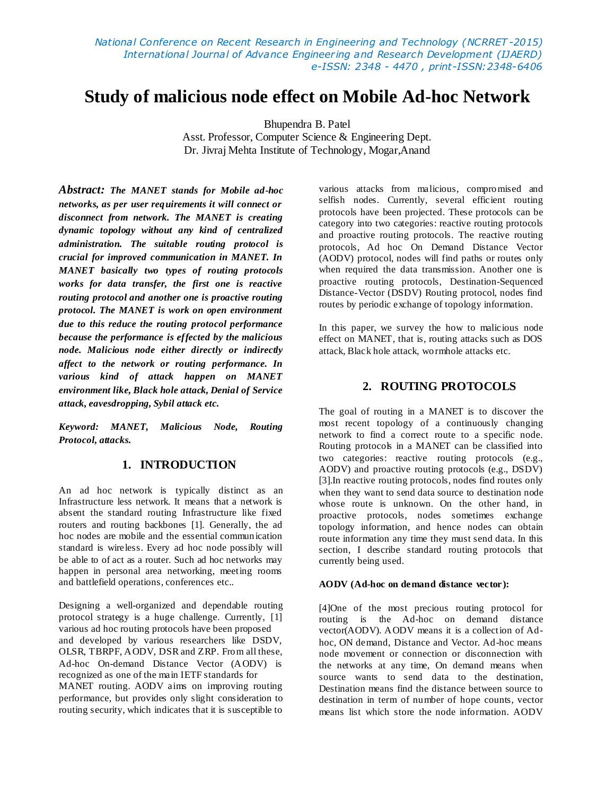# **Study of malicious node effect on Mobile Ad-hoc Network**

Bhupendra B. Patel

Asst. Professor, Computer Science & Engineering Dept. Dr. Jivraj Mehta Institute of Technology, Mogar,Anand

*Abstract: The MANET stands for Mobile ad-hoc networks, as per user requirements it will connect or disconnect from network. The MANET is creating dynamic topology without any kind of centralized administration. The suitable routing protocol is crucial for improved communication in MANET. In MANET basically two types of routing protocols works for data transfer, the first one is reactive routing protocol and another one is proactive routing protocol. The MANET is work on open environment due to this reduce the routing protocol performance because the performance is effected by the malicious node. Malicious node either directly or indirectly affect to the network or routing performance. In various kind of attack happen on MANET environment like, Black hole attack, Denial of Service attack, eavesdropping, Sybil attack etc.* 

*Keyword: MANET, Malicious Node, Routing Protocol, attacks.*

## **1. INTRODUCTION**

An ad hoc network is typically distinct as an Infrastructure less network. It means that a network is absent the standard routing Infrastructure like fixed routers and routing backbones [1]. Generally, the ad hoc nodes are mobile and the essential communication standard is wireless. Every ad hoc node possibly will be able to of act as a router. Such ad hoc networks may happen in personal area networking, meeting rooms and battlefield operations, conferences etc..

Designing a well-organized and dependable routing protocol strategy is a huge challenge. Currently, [1] various ad hoc routing protocols have been proposed and developed by various researchers like DSDV, OLSR, TBRPF, AODV, DSR and ZRP. From all these, Ad-hoc On-demand Distance Vector (AODV) is recognized as one of the main IETF standards for MANET routing. AODV aims on improving routing performance, but provides only slight consideration to routing security, which indicates that it is susceptible to

various attacks from malicious, compromised and selfish nodes. Currently, several efficient routing protocols have been projected. These protocols can be category into two categories: reactive routing protocols and proactive routing protocols. The reactive routing protocols, Ad hoc On Demand Distance Vector (AODV) protocol, nodes will find paths or routes only when required the data transmission. Another one is proactive routing protocols, Destination-Sequenced Distance-Vector (DSDV) Routing protocol, nodes find routes by periodic exchange of topology information.

In this paper, we survey the how to malicious node effect on MANET, that is, routing attacks such as DOS attack, Black hole attack, wormhole attacks etc.

## **2. ROUTING PROTOCOLS**

The goal of routing in a MANET is to discover the most recent topology of a continuously changing network to find a correct route to a specific node. Routing protocols in a MANET can be classified into two categories: reactive routing protocols (e.g., AODV) and proactive routing protocols (e.g., DSDV) [3].In reactive routing protocols, nodes find routes only when they want to send data source to destination node whose route is unknown. On the other hand, in proactive protocols, nodes sometimes exchange topology information, and hence nodes can obtain route information any time they must send data. In this section, I describe standard routing protocols that currently being used.

#### **AODV (Ad-hoc on demand distance vector ):**

[4]One of the most precious routing protocol for routing is the Ad-hoc on demand distance vector(AODV). AODV means it is a collection of Adhoc, ON demand, Distance and Vector. Ad-hoc means node movement or connection or disconnection with the networks at any time, On demand means when source wants to send data to the destination, Destination means find the distance between source to destination in term of number of hope counts, vector means list which store the node information. AODV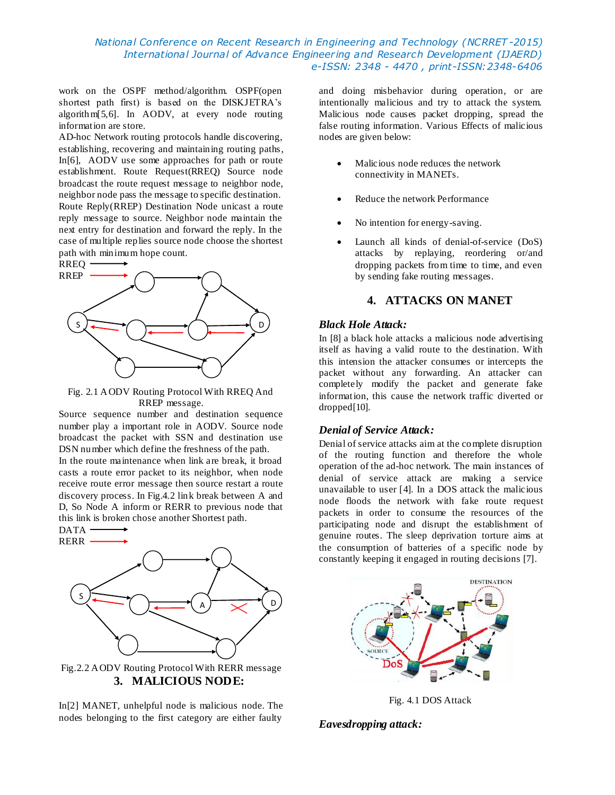### *National Conference on Recent Research in Engineering and Technology (NCRRET -2015) International Journal of Advance Engineering and Research Development (IJAERD) e-ISSN: 2348 - 4470 , print-ISSN:2348-6406*

work on the OSPF method/algorithm. OSPF(open shortest path first) is based on the DISKJETRA's algorithm[5,6]. In AODV, at every node routing information are store.

AD-hoc Network routing protocols handle discovering, establishing, recovering and maintaining routing paths, In[6], AODV use some approaches for path or route establishment. Route Request(RREQ) Source node broadcast the route request message to neighbor node, neighbor node pass the message to specific destination. Route Reply(RREP) Destination Node unicast a route reply message to source. Neighbor node maintain the next entry for destination and forward the reply. In the case of multiple replies source node choose the shortest path with minimum hope count.



Fig. 2.1 AODV Routing Protocol With RREQ And RREP message.

Source sequence number and destination sequence number play a important role in AODV. Source node broadcast the packet with SSN and destination use DSN number which define the freshness of the path.

In the route maintenance when link are break, it broad casts a route error packet to its neighbor, when node receive route error message then source restart a route discovery process. In Fig.4.2 link break between A and D, So Node A inform or RERR to previous node that this link is broken chose another Shortest path.



In[2] MANET, unhelpful node is malicious node. The nodes belonging to the first category are either faulty

and doing misbehavior during operation, or are intentionally malicious and try to attack the system. Malicious node causes packet dropping, spread the false routing information. Various Effects of malicious nodes are given below:

- Malicious node reduces the network connectivity in MANETs.
- Reduce the network Performance
- No intention for energy-saving.
- Launch all kinds of denial-of-service (DoS) attacks by replaying, reordering or/and dropping packets from time to time, and even by sending fake routing messages.

## **4. ATTACKS ON MANET**

### *Black Hole Attack:*

In [8] a black hole attacks a malicious node advertising itself as having a valid route to the destination. With this intension the attacker consumes or intercepts the packet without any forwarding. An attacker can completely modify the packet and generate fake information, this cause the network traffic diverted or dropped[10].

## *Denial of Service Attack:*

Denial of service attacks aim at the complete disruption of the routing function and therefore the whole operation of the ad-hoc network. The main instances of denial of service attack are making a service unavailable to user [4]. In a DOS attack the malicious node floods the network with fake route request packets in order to consume the resources of the participating node and disrupt the establishment of genuine routes. The sleep deprivation torture aims at the consumption of batteries of a specific node by constantly keeping it engaged in routing decisions [7].



Fig. 4.1 DOS Attack

### *Eavesdropping attack:*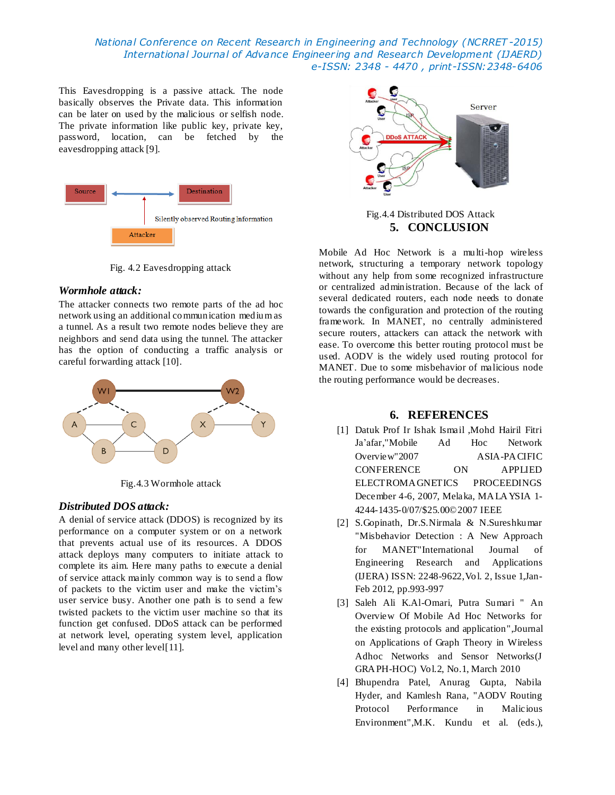*National Conference on Recent Research in Engineering and Technology (NCRRET -2015) International Journal of Advance Engineering and Research Development (IJAERD) e-ISSN: 2348 - 4470 , print-ISSN:2348-6406*

This Eavesdropping is a passive attack. The node basically observes the Private data. This information can be later on used by the malicious or selfish node. The private information like public key, private key, password, location, can be fetched by the eavesdropping attack [9].



Fig. 4.2 Eavesdropping attack

#### *Wormhole attack:*

The attacker connects two remote parts of the ad hoc network using an additional communication mediumas a tunnel. As a result two remote nodes believe they are neighbors and send data using the tunnel. The attacker has the option of conducting a traffic analysis or careful forwarding attack [10].



Fig.4.3 Wormhole attack

### *Distributed DOS attack:*

A denial of service attack (DDOS) is recognized by its performance on a computer system or on a network that prevents actual use of its resources. A DDOS attack deploys many computers to initiate attack to complete its aim. Here many paths to execute a denial of service attack mainly common way is to send a flow of packets to the victim user and make the victim's user service busy. Another one path is to send a few twisted packets to the victim user machine so that its function get confused. DDoS attack can be performed at network level, operating system level, application level and many other level [11].



Fig.4.4 Distributed DOS Attack **5. CONCLUSION**

Mobile Ad Hoc Network is a multi-hop wireless network, structuring a temporary network topology without any help from some recognized infrastructure or centralized administration. Because of the lack of several dedicated routers, each node needs to donate towards the configuration and protection of the routing framework. In MANET, no centrally administered secure routers, attackers can attack the network with ease. To overcome this better routing protocol must be used. AODV is the widely used routing protocol for MANET. Due to some misbehavior of malicious node the routing performance would be decreases.

## **6. REFERENCES**

- [1] Datuk Prof Ir Ishak Ismail ,Mohd Hairil Fitri Ja'afar,"Mobile Ad Hoc Network Overview"2007 ASIA-PACIFIC CONFERENCE ON APPLIED ELECTROMAGNETICS PROCEEDINGS December 4-6, 2007, Melaka, MALAYSIA 1- 4244-1435-0/07/\$25.00©2007 IEEE
- [2] S.Gopinath, Dr.S.Nirmala & N.Sureshkumar "Misbehavior Detection : A New Approach for MANET"International Journal of Engineering Research and Applications (IJERA) ISSN: 2248-9622,Vol. 2, Issue 1,Jan-Feb 2012, pp.993-997
- [3] Saleh Ali K.Al-Omari, Putra Sumari " An Overview Of Mobile Ad Hoc Networks for the existing protocols and application",Journal on Applications of Graph Theory in Wireless Adhoc Networks and Sensor Networks(J GRAPH-HOC) Vol.2, No.1, March 2010
- [4] Bhupendra Patel, Anurag Gupta, Nabila Hyder, and Kamlesh Rana, "AODV Routing Protocol Performance in Malicious Environment",M.K. Kundu et al. (eds.),